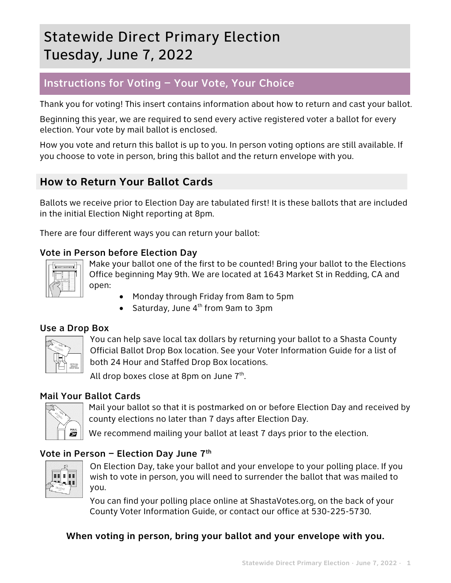# Statewide Direct Primary Election Tuesday, June 7, 2022

# Instructions for Voting – Your Vote, Your Choice

Thank you for voting! This insert contains information about how to return and cast your ballot.

Beginning this year, we are required to send every active registered voter a ballot for every election. Your vote by mail ballot is enclosed.

How you vote and return this ballot is up to you. In person voting options are still available. If you choose to vote in person, bring this ballot and the return envelope with you.

## **How to Return Your Ballot Cards**

Ballots we receive prior to Election Day are tabulated first! It is these ballots that are included in the initial Election Night reporting at 8pm.

There are four different ways you can return your ballot:

## Vote in Person before Election Day

|  | ă |  |
|--|---|--|
|  | ē |  |
|  |   |  |

Make your ballot one of the first to be counted! Bring your ballot to the Elections Office beginning May 9th. We are located at 1643 Market St in Redding, CA and open:

- Monday through Friday from 8am to 5pm
- Saturday, June  $4<sup>th</sup>$  from 9am to 3pm

## Use a Drop Box



You can help save local tax dollars by returning your ballot to a Shasta County Official Ballot Drop Box location. See your Voter Information Guide for a list of both 24 Hour and Staffed Drop Box locations.

All drop boxes close at 8pm on June  $7<sup>th</sup>$ .

## Mail Your Ballot Cards



Mail your ballot so that it is postmarked on or before Election Day and received by county elections no later than 7 days after Election Day.

We recommend mailing your ballot at least 7 days prior to the election.

## Vote in Person – Election Day June  $7<sup>th</sup>$

| 88 | н | 88 |
|----|---|----|
|    |   |    |
|    |   |    |

On Election Day, take your ballot and your envelope to your polling place. If you wish to vote in person, you will need to surrender the ballot that was mailed to you.

You can find your polling place online at ShastaVotes.org, on the back of your County Voter Information Guide, or contact our office at 530-225-5730.

## **When voting in person, bring your ballot and your envelope with you.**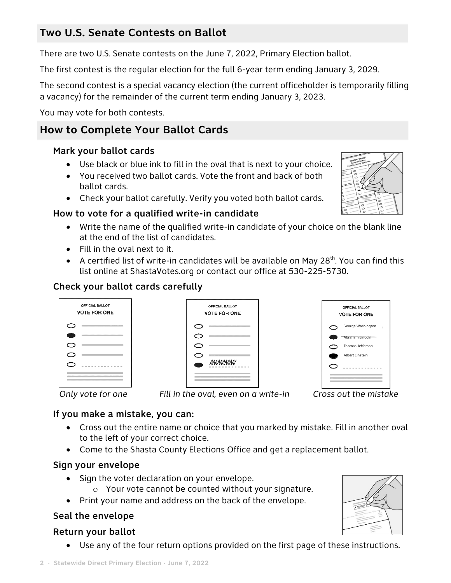**2 · Statewide Direct Primary Election · June 7, 2022**

# **Two U.S. Senate Contests on Ballot**

There are two U.S. Senate contests on the June 7, 2022, Primary Election ballot.

The first contest is the regular election for the full 6-year term ending January 3, 2029.

The second contest is a special vacancy election (the current officeholder is temporarily filling a vacancy) for the remainder of the current term ending January 3, 2023.

You may vote for both contests.

# **How to Complete Your Ballot Cards**

# Mark your ballot cards

- Use black or blue ink to fill in the oval that is next to your choice.
- You received two ballot cards. Vote the front and back of both ballot cards.
- Check your ballot carefully. Verify you voted both ballot cards.

# How to vote for a qualified write-in candidate

- Write the name of the qualified write-in candidate of your choice on the blank line at the end of the list of candidates.
- Fill in the oval next to it.
- A certified list of write-in candidates will be available on May 28<sup>th</sup>. You can find this list online at ShastaVotes.org or contact our office at 530-225-5730.

# Check your ballot cards carefully

If you make a mistake, you can:

to the left of your correct choice.

• Sign the voter declaration on your envelope.

| <b>OFFICIAL BALLOT</b><br><b>VOTE FOR ONE</b> |  |  |
|-----------------------------------------------|--|--|
|                                               |  |  |
|                                               |  |  |
|                                               |  |  |
|                                               |  |  |
|                                               |  |  |
|                                               |  |  |
|                                               |  |  |

| <b>OFFICIAL BALLOT</b><br><b>VOTE FOR ONE</b> |
|-----------------------------------------------|
|                                               |
|                                               |
|                                               |
|                                               |
|                                               |
| <i>MMMMM</i>                                  |
|                                               |

OFFICIAL BALLOT VOTE FOR ONE George Washington Abraham Lincoln Thomas Jefferson ⌒ Albert Einstein

Sign your envelope

Seal the envelope

 *Only vote for one Fill in the oval, even on a write-in Cross out the mistake* 

• Come to the Shasta County Elections Office and get a replacement ballot.

o Your vote cannot be counted without your signature.

• Print your name and address on the back of the envelope.

• Cross out the entire name or choice that you marked by mistake. Fill in another oval



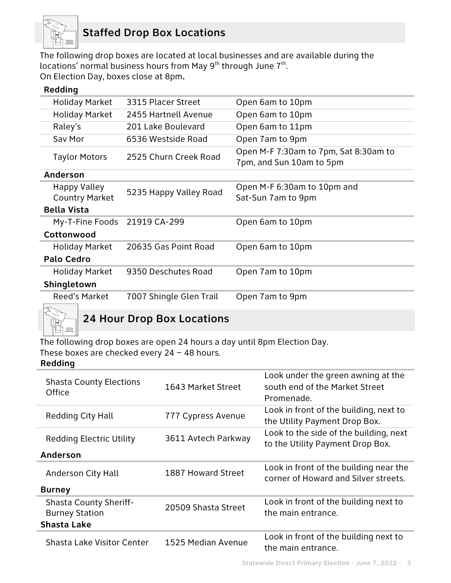

# **S**taffed Drop Box Locations

The following drop boxes are located at local businesses and are available during the locations' normal business hours from May  $9<sup>th</sup>$  through June  $7<sup>th</sup>$ . On Election Day, boxes close at 8pm**.**

| Redding                                                                                                                   |                         |                                                                   |
|---------------------------------------------------------------------------------------------------------------------------|-------------------------|-------------------------------------------------------------------|
| <b>Holiday Market</b>                                                                                                     | 3315 Placer Street      | Open 6am to 10pm                                                  |
| <b>Holiday Market</b>                                                                                                     | 2455 Hartnell Avenue    | Open 6am to 10pm                                                  |
| Raley's                                                                                                                   | 201 Lake Boulevard      | Open 6am to 11pm                                                  |
| Sav Mor                                                                                                                   | 6536 Westside Road      | Open 7am to 9pm                                                   |
| <b>Taylor Motors</b>                                                                                                      | 2525 Churn Creek Road   | Open M-F 7:30am to 7pm, Sat 8:30am to<br>7pm, and Sun 10am to 5pm |
| Anderson                                                                                                                  |                         |                                                                   |
| Happy Valley<br><b>Country Market</b>                                                                                     | 5235 Happy Valley Road  | Open M-F 6:30am to 10pm and<br>Sat-Sun 7am to 9pm                 |
| <b>Bella Vista</b>                                                                                                        |                         |                                                                   |
| My-T-Fine Foods                                                                                                           | 21919 CA-299            | Open 6am to 10pm                                                  |
| Cottonwood                                                                                                                |                         |                                                                   |
| <b>Holiday Market</b>                                                                                                     | 20635 Gas Point Road    | Open 6am to 10pm                                                  |
| <b>Palo Cedro</b>                                                                                                         |                         |                                                                   |
| <b>Holiday Market</b>                                                                                                     | 9350 Deschutes Road     | Open 7am to 10pm                                                  |
| Shingletown                                                                                                               |                         |                                                                   |
| <b>Reed's Market</b><br>$\begin{matrix} \begin{matrix} \begin{matrix} \mathcal{N} \end{matrix} \end{matrix} \end{matrix}$ | 7007 Shingle Glen Trail | Open 7am to 9pm                                                   |



24 Hour Drop Box Locations

The following drop boxes are open 24 hours a day until 8pm Election Day.

These boxes are checked every 24 – 48 hours.

## **Redding**

| <b>Shasta County Elections</b><br>Office               | 1643 Market Street  | Look under the green awning at the<br>south end of the Market Street<br>Promenade. |
|--------------------------------------------------------|---------------------|------------------------------------------------------------------------------------|
| Redding City Hall                                      | 777 Cypress Avenue  | Look in front of the building, next to<br>the Utility Payment Drop Box.            |
| <b>Redding Electric Utility</b><br>Anderson            | 3611 Avtech Parkway | Look to the side of the building, next<br>to the Utility Payment Drop Box.         |
|                                                        |                     |                                                                                    |
| Anderson City Hall                                     | 1887 Howard Street  | Look in front of the building near the<br>corner of Howard and Silver streets.     |
| <b>Burney</b>                                          |                     |                                                                                    |
| <b>Shasta County Sheriff-</b><br><b>Burney Station</b> | 20509 Shasta Street | Look in front of the building next to<br>the main entrance.                        |
| <b>Shasta Lake</b>                                     |                     |                                                                                    |
| Shasta Lake Visitor Center                             | 1525 Median Avenue  | Look in front of the building next to<br>the main entrance.                        |